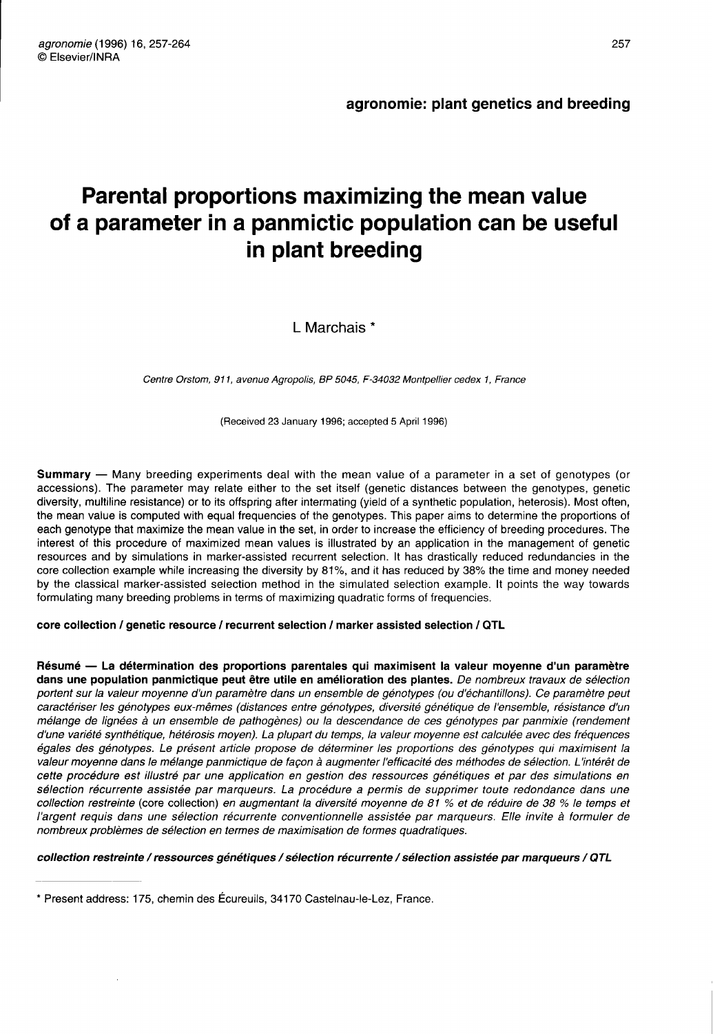# Parental proportions maximizing the mean value of a parameter in a panmictic population can be useful in plant breeding

L Marchais<sup>\*</sup>

Centre Orstom, 911, avenue Agropolis, BP 5045, F-34032 Montpellier cedex 1, France

(Received 23 January 1996; accepted 5 April 1996)

Summary — Many breeding experiments deal with the mean value of a parameter in a set of genotypes (or accessions). The parameter may relate either to the set itself (genetic distances between the genotypes, genetic diversity, multiline resistance) or to its offspring after intermating (yield of a synthetic population, heterosis). Most often, the mean value is computed with equal frequencies of the genotypes. This paper aims to determine the proportions of each genotype that maximize the mean value in the set, in order to increase the efficiency of breeding procedures. The interest of this procedure of maximized mean values is illustrated by an application in the management of genetic resources and by simulations in marker-assisted recurrent selection. It has drastically reduced redundancies in the core collection example while increasing the diversity by 81 %, and it has reduced by 38% the time and money needed by the classical marker-assisted selection method in the simulated selection example. It points the way towards formulating many breeding problems in terms of maximizing quadratic forms of frequencies.

# core collection / genetic resource / recurrent selection / marker assisted selection / QTL

Résumé — La détermination des proportions parentales qui maximisent la valeur moyenne d'un paramètre dans une population panmictique peut être utile en amélioration des plantes. De nombreux travaux de sélection portent sur la valeur moyenne d'un paramètre dans un ensemble de génotypes (ou d'échantillons). Ce paramètre peut caractériser les génotypes eux-mêmes (distances entre génotypes, diversité génétique de l'ensemble, résistance d'un mélange de lignées à un ensemble de pathogènes) ou la descendance de ces génotypes par panmixie (rendement d'une variété synthétique, hétérosis moyen). La plupart du temps, la valeur moyenne est calculée avec des fréquences égales des génotypes. Le présent article propose de déterminer les proportions des génotypes qui maximisent la valeur moyenne dans le mélange panmictique de façon à augmenter l'efficacité des méthodes de sélection. L'intérêt de cette procédure est illustré par une application en gestion des ressources génétiques et par des simulations en sélection récurrente assistée par marqueurs. La procédure a permis de supprimer toute redondance dans une collection restreinte (core collection) en augmentant la diversité moyenne de 81 % et de réduire de 38 % le temps et l'argent requis dans une sélection récurrente conventionnelle assistée par marqueurs. Elle invite à formuler de nombreux problèmes de sélection en termes de maximisation de formes quadratiques.

# collection restreinte / ressources génétiques / sélection récurrente / sélection assistée par marqueurs / QTL

<sup>\*</sup> Present address: 175, chemin des Écureuils, 34170 Casteinau-le-Lez, France.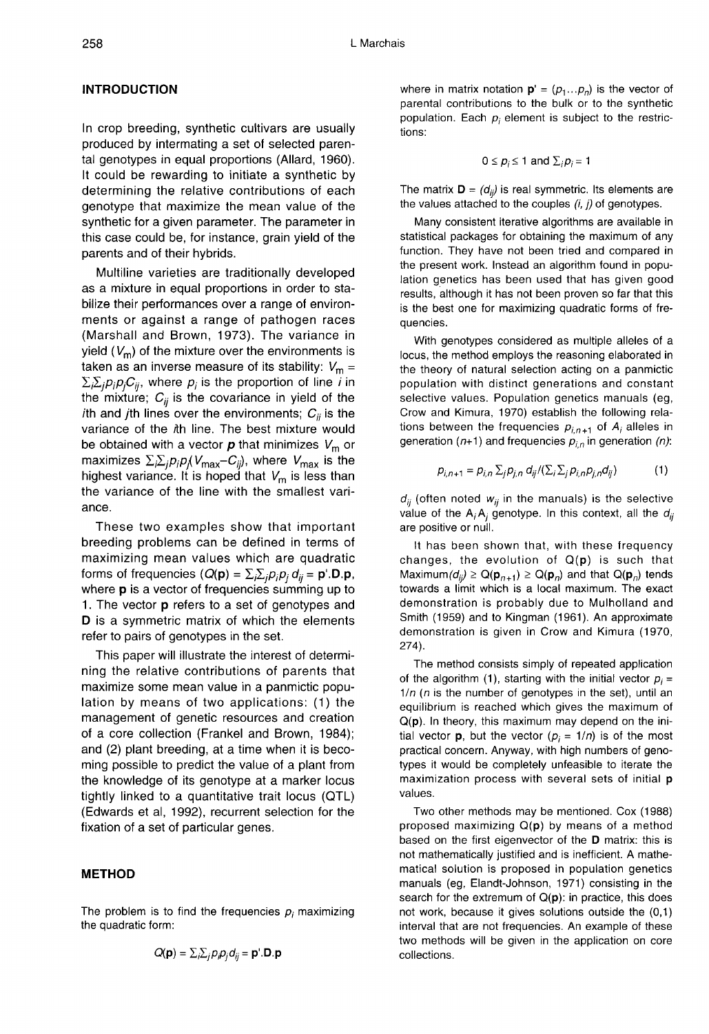## INTRODUCTION

In crop breeding, synthetic cultivars are usually produced by intermating a set of selected parental genotypes in equal proportions (Allard, 1960). It could be rewarding to initiate a synthetic by determining the relative contributions of each genotype that maximize the mean value of the synthetic for a given parameter. The parameter in this case could be, for instance, grain yield of the parents and of their hybrids.

Multiline varieties are traditionally developed as a mixture in equal proportions in order to stabilize their performances over a range of environments or against a range of pathogen races (Marshall and Brown, 1973). The variance in yield  $(V_m)$  of the mixture over the environments is taken as an inverse measure of its stability:  $V_m =$  $\sum_i \sum_j p_j p_j C_{ij}$ , where  $p_j$  is the proportion of line *i* in the mixture;  $C_{ii}$  is the covariance in yield of the ith and jth lines over the environments;  $C_{ii}$  is the variance of the ith line. The best mixture would be obtained with a vector  $p$  that minimizes  $V_m$  or (warsnan and Brown, 1973). The variance in<br>yield ( $V_m$ ) of the mixture over the environments is<br>taken as an inverse measure of its stability:  $V_m = \sum_i \sum_j p_j C_{ij}$ , where  $p_i$  is the proportion of line *i* in<br>the mixture;  $C_{$ highest variance. It is hoped that  $V_m$  is less than the variance of the line with the smallest variance.

These two examples show that important breeding problems can be defined in terms of maximizing mean values which are quadratic forms of frequencies  $(Q(\mathbf{p}) = \sum_i \sum_i p_i p_i d_{ii} = \mathbf{p}^i \cdot \mathbf{D} \cdot \mathbf{p}$ , where **p** is a vector of frequencies summing up to 1. The vector **p** refers to a set of genotypes and D is a symmetric matrix of which the elements refer to pairs of genotypes in the set.

This paper will illustrate the interest of determining the relative contributions of parents that maximize some mean value in a panmictic population by means of two applications: (1) the management of genetic resources and creation of a core collection (Frankel and Brown, 1984); and (2) plant breeding, at a time when it is becoming possible to predict the value of a plant from the knowledge of its genotype at a marker locus tightly linked to a quantitative trait locus (QTL) (Edwards et al, 1992), recurrent selection for the fixation of a set of particular genes.

## METHOD

The problem is to find the frequencies  $p_i$  maximizing the quadratic form:

$$
Q(\mathbf{p}) = \sum_i \sum_j p_i p_j d_{ij} = \mathbf{p}'.\mathbf{D}.\mathbf{p}
$$

L Marchais<br>where in matrix notation  $\mathbf{p}' = (p_1...p_n)$  is the vector of parental contributions to the bulk or to the synthetic population. Each  $p_i$  element is subject to the restrictions:

$$
0 \le p_i \le 1
$$
 and  $\sum_i p_i = 1$ 

The matrix  $\mathbf{D} = (d_{ii})$  is real symmetric. Its elements are the values attached to the couples  $(i, j)$  of genotypes.

Many consistent iterative algorithms are available in statistical packages for obtaining the maximum of any function. They have not been tried and compared in the present work. Instead an algorithm found in population genetics has been used that has given good results, although it has not been proven so far that this is the best one for maximizing quadratic forms of frequencies.

With genotypes considered as multiple alleles of a locus, the method employs the reasoning elaborated in the theory of natural selection acting on a panmictic population with distinct generations and constant selective values. Population genetics manuals (eg, Crow and Kimura, 1970) establish the following rela-<br>tions between the frequencies  $p_{i,n+1}$  of  $A_i$  alleles in<br>generation (n+1) and frequencies  $p_i$ , in generation (n) tions between the frequencies  $p_{i,n+1}$  of  $A_i$  alleles in generation (n+1) and frequencies  $p_{i,n}$  in generation (n):

$$
p_{i,n+1} = p_{i,n} \sum_{j} p_{j,n} d_{ij} / (\sum_{i} \sum_{j} p_{i,n} p_{j,n} d_{ij})
$$
 (1)

 $d_{ij}$  (often noted  $w_{ij}$  in the manuals) is the selective value of the  $A_iA_j$  genotype. In this context, all the  $d_{ij}$  are positive or null.

It has been shown that, with these frequency changes, the evolution of  $Q(p)$  is such that<br>Maximum( $d_{ii}$ )  $\geq Q(p_{n+1}) \geq Q(p_n)$  and that  $Q(p_n)$  tends  $d_{ij}$  (often noted  $w_{ij}$  in the manuals) is the selective<br>value of the  $A_iA_j$  genotype. In this context, all the  $d_{ij}$ <br>are positive or null.<br>It has been shown that, with these frequency<br>changes, the evolution of Q(**p**) towards a limit which is a local maximum. The exact demonstration is probably due to Mulholland and Smith (1959) and to Kingman (1961). An approximate demonstration is given in Crow and Kimura (1970, 274).

The method consists simply of repeated application of the algorithm (1), starting with the initial vector  $p_i=$  $1/n$  (n is the number of genotypes in the set), until an equilibrium is reached which gives the maximum of Q(p). In theory, this maximum may depend on the initial vector **p**, but the vector  $(p_i = 1/n)$  is of the most practical concern. Anyway, with high numbers of genotypes it would be completely unfeasible to iterate the maximization process with several sets of initial p values.

Two other methods may be mentioned. Cox (1988) proposed maximizing  $Q(p)$  by means of a method based on the first eigenvector of the D matrix: this is not mathematically justified and is inefficient. A mathematical solution is proposed in population genetics manuals (eg, Elandt-Johnson, 1971) consisting in the search for the extremum of  $Q(p)$ : in practice, this does not work, because it gives solutions outside the (0,1) interval that are not frequencies. An example of these two methods will be given in the application on core collections.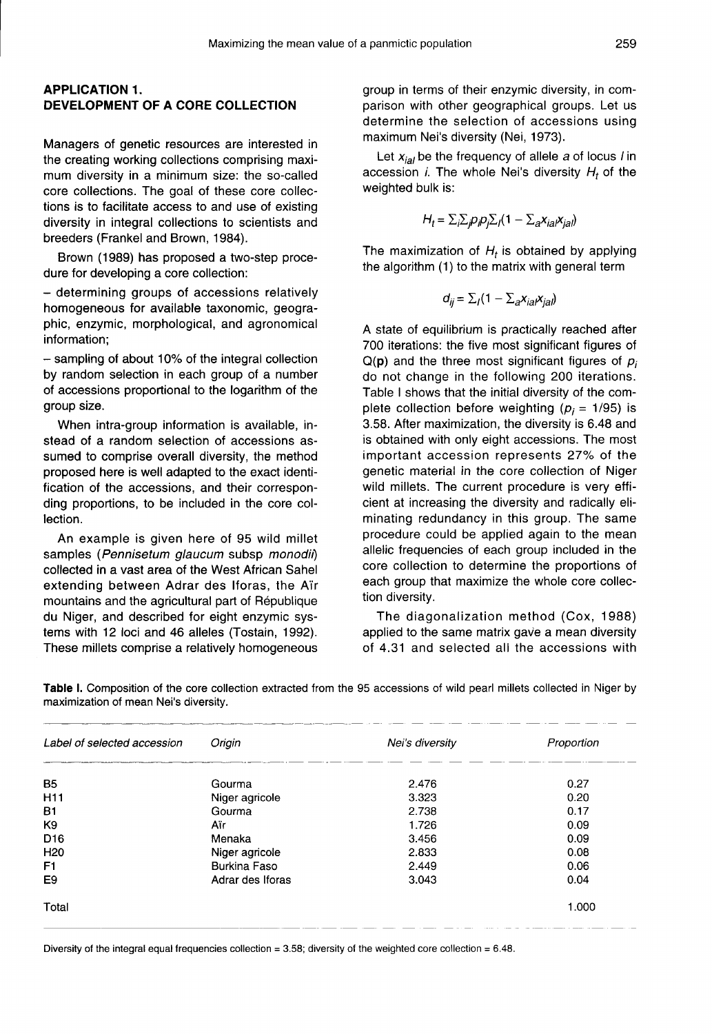## APPLICATION 1. DEVELOPMENT OF A CORE COLLECTION

Managers of genetic resources are interested in the creating working collections comprising maximum diversity in a minimum size: the so-called core collections. The goal of these core collections is to facilitate access to and use of existing diversity in integral collections to scientists and breeders (Frankel and Brown, 1984).

Brown (1989) has proposed a two-step procedure for developing a core collection:

- determining groups of accessions relatively homogeneous for available taxonomic, geographic, enzymic, morphological, and agronomical information;

- sampling of about 10% of the integral collection by random selection in each group of a number of accessions proportional to the logarithm of the group size.

When intra-group information is available, instead of a random selection of accessions assumed to comprise overall diversity, the method proposed here is well adapted to the exact identification of the accessions, and their corresponding proportions, to be included in the core collection.

An example is given here of 95 wild millet samples (Pennisetum glaucum subsp monodii) collected in a vast area of the West African Sahel extending between Adrar des Iforas, the Air mountains and the agricultural part of République du Niger, and described for eight enzymic systems with 12 loci and 46 alleles (Tostain, 1992). These millets comprise a relatively homogeneous

group in terms of their enzymic diversity, in comparison with other geographical groups. Let us determine the selection of accessions using maximum Nei's diversity (Nei, 1973).

Let  $x_{ial}$  be the frequency of allele  $a$  of locus *l* in accession *i*. The whole Nei's diversity  $H_t$  of the weighted bulk is:

$$
H_t = \sum_j \sum_j p_j p_j \sum_j (1 - \sum_a x_{iaj} x_{jaj})
$$

The maximization of  $H_t$  is obtained by applying the algorithm (1) to the matrix with general term

$$
d_{ij} = \sum_{i} (1 - \sum_{i} x_{ia} x_{ia})
$$

A state of equilibrium is practically reached after 700 iterations: the five most significant figures of  $Q(p)$  and the three most significant figures of  $p_i$ do not change in the following 200 iterations. Table I shows that the initial diversity of the complete collection before weighting ( $p_i = 1/95$ ) is 3.58. After maximization, the diversity is 6.48 and is obtained with only eight accessions. The most important accession represents 27% of the genetic material in the core collection of Niger wild millets. The current procedure is very efficient at increasing the diversity and radically eliminating redundancy in this group. The same procedure could be applied again to the mean allelic frequencies of each group included in the core collection to determine the proportions of each group that maximize the whole core collection diversity.

The diagonalization method (Cox, 1988) applied to the same matrix gave a mean diversity of 4.31 and selected all the accessions with

| Label of selected accession | Origin              | Nei's diversity | Proportion |  |
|-----------------------------|---------------------|-----------------|------------|--|
| <b>B5</b>                   | Gourma              | 2.476           | 0.27       |  |
| H <sub>11</sub>             | Niger agricole      | 3.323           | 0.20       |  |
| Β1                          | Gourma              | 2.738           | 0.17       |  |
| K9                          | Aïr                 | 1.726           | 0.09       |  |
| D <sub>16</sub>             | Menaka              | 3.456           | 0.09       |  |
| H <sub>20</sub>             | Niger agricole      | 2.833           | 0.08       |  |
| F1                          | <b>Burkina Faso</b> | 2.449           | 0.06       |  |
| E9                          | Adrar des Iforas    | 3.043           | 0.04       |  |
| Total                       |                     |                 | 1.000      |  |

Table I. Composition of the core collection extracted from the 95 accessions of wild pearl millets collected in Niger by maximization of mean Nei's diversity.

Diversity of the integral equal frequencies collection =  $3.58$ ; diversity of the weighted core collection =  $6.48$ .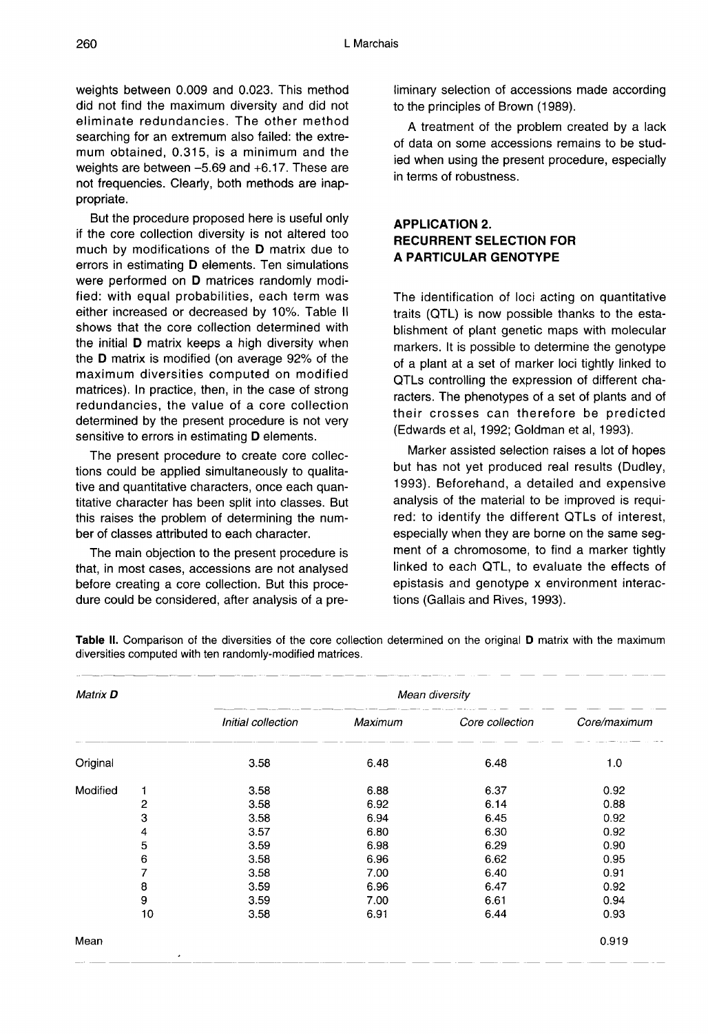weights between 0.009 and 0.023. This method did not find the maximum diversity and did not eliminate redundancies. The other method searching for an extremum also failed: the extremum obtained, 0.315, is a minimum and the weights are between -5.69 and +6.17. These are not frequencies. Clearly, both methods are inappropriate.

But the procedure proposed here is useful only if the core collection diversity is not altered too much by modifications of the D matrix due to errors in estimating D elements. Ten simulations were performed on D matrices randomly modified: with equal probabilities, each term was either increased or decreased by 10%. Table II shows that the core collection determined with the initial D matrix keeps a high diversity when the D matrix is modified (on average 92% of the maximum diversities computed on modified matrices). In practice, then, in the case of strong redundancies, the value of a core collection determined by the present procedure is not very sensitive to errors in estimating **D** elements.

The present procedure to create core collections could be applied simultaneously to qualitative and quantitative characters, once each quantitative character has been split into classes. But this raises the problem of determining the number of classes attributed to each character.

The main objection to the present procedure is that, in most cases, accessions are not analysed before creating a core collection. But this procedure could be considered, after analysis of a preliminary selection of accessions made according to the principles of Brown (1989).

A treatment of the problem created by a lack of data on some accessions remains to be studied when using the present procedure, especially in terms of robustness.

# APPLICATION 2. RECURRENT SELECTION FOR A PARTICULAR GENOTYPE

The identification of loci acting on quantitative traits (QTL) is now possible thanks to the establishment of plant genetic maps with molecular markers. It is possible to determine the genotype of a plant at a set of marker loci tightly linked to QTLs controlling the expression of different characters. The phenotypes of a set of plants and of their crosses can therefore be predicted (Edwards et al, 1992; Goldman et al, 1993).

Marker assisted selection raises a lot of hopes but has not yet produced real results (Dudley, 1993). Beforehand, a detailed and expensive analysis of the material to be improved is required: to identify the different QTLs of interest, especially when they are borne on the same segment of a chromosome, to find a marker tightly linked to each QTL, to evaluate the effects of epistasis and genotype x environment interactions (Gallais and Rives, 1993).

| Matrix <b>D</b> |                | Mean diversity     |         |                 |              |  |  |
|-----------------|----------------|--------------------|---------|-----------------|--------------|--|--|
|                 |                | Initial collection | Maximum | Core collection | Core/maximum |  |  |
| Original        |                | 3.58               | 6.48    | 6.48            | 1.0          |  |  |
| Modified        | 1              | 3.58               | 6.88    | 6.37            | 0.92         |  |  |
|                 | $\overline{c}$ | 3.58               | 6.92    | 6.14            | 0.88         |  |  |
|                 | 3              | 3.58               | 6.94    | 6.45            | 0.92         |  |  |
|                 | 4              | 3.57               | 6.80    | 6.30            | 0.92         |  |  |
|                 | 5              | 3.59               | 6.98    | 6.29            | 0.90         |  |  |
|                 | 6              | 3.58               | 6.96    | 6.62            | 0.95         |  |  |
|                 | 7              | 3.58               | 7.00    | 6.40            | 0.91         |  |  |
|                 | 8              | 3.59               | 6.96    | 6.47            | 0.92         |  |  |
|                 | 9              | 3.59               | 7.00    | 6.61            | 0.94         |  |  |
|                 | 10             | 3.58               | 6.91    | 6.44            | 0.93         |  |  |
| Mean            |                |                    |         |                 | 0.919        |  |  |

Table II. Comparison of the diversities of the core collection determined on the original D matrix with the maximum diversities computed with ten randomly-modified matrices.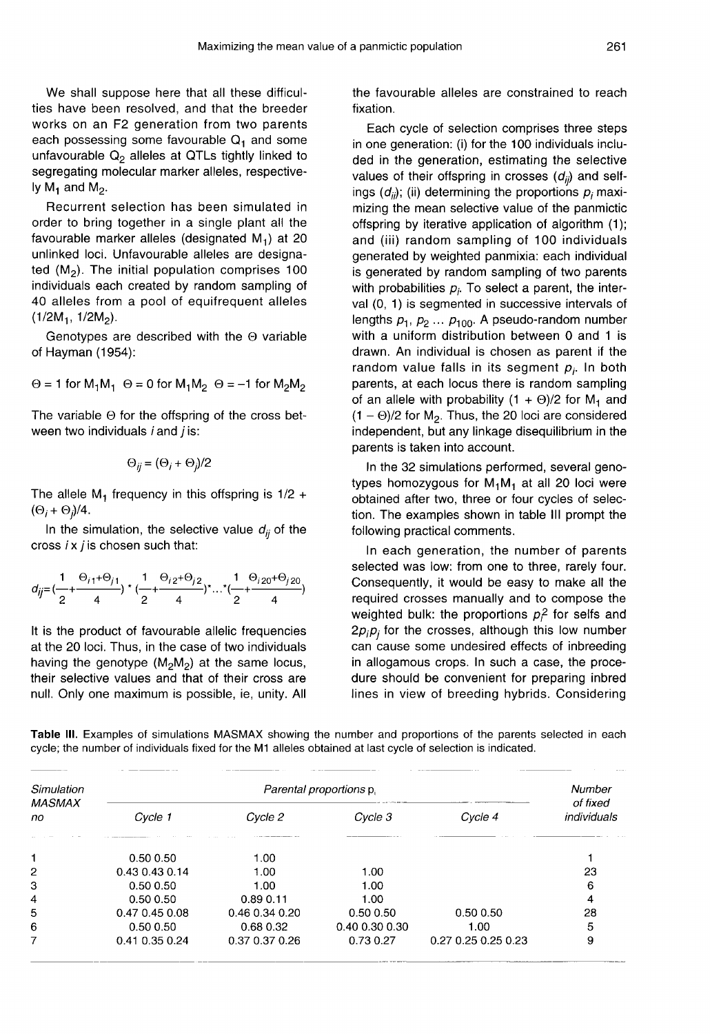We shall suppose here that all these difficulties have been resolved, and that the breeder works on an F2 generation from two parents each possessing some favourable  $Q_1$  and some unfavourable  $Q_2$  alleles at QTLs tightly linked to segregating molecular marker alleles, respectively  $M_1$  and  $M_2$ .

Recurrent selection has been simulated in order to bring together in a single plant all the favourable marker alleles (designated  $M_1$ ) at 20 unlinked loci. Unfavourable alleles are designated  $(M_2)$ . The initial population comprises 100 individuals each created by random sampling of 40 alleles from a pool of equifrequent alleles  $\frac{1}{2}$ . The<br>individuals eac<br>40 alleles from<br> $\frac{1}{2}$ .  $\frac{1}{2}$ .  $\frac{1}{2}$ 

Genotypes are described with the Θ variable of Hayman (1954):

 $\Theta = 1$  for  $M_1M_1$   $\Theta = 0$  for  $M_1M_2$   $\Theta = -1$  for  $M_2M_2$ 

The variable Θ for the offspring of the cross between two individuals  $i$  and  $j$  is:

$$
\Theta_{ij}=(\Theta_i+\Theta_j)/2
$$

The allele  $M_1$  frequency in this offspring is  $1/2 +$ The allele<br>(Θ<sub>*i*</sub> + Θ<sub>*j</sub>)/4.*<br>In the s</sub>

In the simulation, the selective value  $d_{ij}$  of the cross  $i \times j$  is chosen such that:

$$
d_{ij} = \left(\frac{1}{2} + \frac{\Theta_{i1} + \Theta_{j1}}{4}\right) \times \left(\frac{1}{2} + \frac{\Theta_{i2} + \Theta_{j2}}{4}\right) \times \ldots \times \left(\frac{1}{2} + \frac{\Theta_{i20} + \Theta_{j20}}{4}\right)
$$

It is the product of favourable allelic frequencies at the 20 loci. Thus, in the case of two individuals having the genotype  $(M_2M_2)$  at the same locus, their selective values and that of their cross are null. Only one maximum is possible, ie, unity. All the favourable alleles are constrained to reach fixation.

Each cycle of selection comprises three steps in one generation: (i) for the 100 individuals included in the generation, estimating the selective values of their offspring in crosses  $(d_{ii})$  and selfings  $(d_{ii})$ ; (ii) determining the proportions  $p_i$  maximizing the mean selective value of the panmictic offspring by iterative application of algorithm (1); and (iii) random sampling of 100 individuals generated by weighted panmixia: each individual is generated by random sampling of two parents with probabilities  $p_i$ . To select a parent, the interval (0, 1) is segmented in successive intervals of lengths  $p_1, p_2 ... p_{100}$ . A pseudo-random number with a uniform distribution between 0 and 1 is drawn. An individual is chosen as parent if the random value falls in its segment  $p_i$ . In both parents, at each locus there is random sampling of an allele with probability  $(1 + \Theta)/2$  for M<sub>1</sub> and  $(1 - \Theta)/2$  for M<sub>2</sub>. Thus, the 20 loci are considered independent, but any linkage disequilibrium in the parents is taken into account.

In the 32 simulations performed, several geno-In the 32 simulations performed, several geno-<br>types homozygous for  $M_1M_1$  at all 20 loci were<br>obtained after two, three or four cycles of selecobtained after two, three or four cycles of selection. The examples shown in table III prompt the following practical comments.

In each generation, the number of parents selected was low: from one to three, rarely four. Consequently, it would be easy to make all the required crosses manually and to compose the weighted bulk: the proportions  $p<sup>2</sup>$  for selfs and  $2p_i p_i$  for the crosses, although this low number can cause some undesired effects of inbreeding in allogamous crops. In such a case, the procedure should be convenient for preparing inbred lines in view of breeding hybrids. Considering

Table III. Examples of simulations MASMAX showing the number and proportions of the parents selected in each cycle; the number of individuals fixed for the M1 alleles obtained at last cycle of selection is indicated.

| Simulation<br><b>MASMAX</b><br>no. |                |                | Number<br>of fixed |                     |             |
|------------------------------------|----------------|----------------|--------------------|---------------------|-------------|
|                                    | Cycle 1        | Cycle 2        | Cycle 3            | Cycle 4             | individuals |
|                                    | 0.50 0.50      | 1.00           |                    |                     |             |
| 2                                  | 0.43 0.43 0.14 | 1.00           | 1.00               |                     | 23          |
| 3                                  | 0.500.50       | 1.00           | 1.00               |                     | 6           |
| 4                                  | 0.50 0.50      | 0.890.11       | 1.00               |                     | 4           |
| 5                                  | 0.47 0.45 0.08 | 0.46 0.34 0.20 | 0.50 0.50          | 0.500.50            | 28          |
| 6                                  | 0.500.50       | 0.68 0.32      | 0.40 0.30 0.30     | 1.00                | 5           |
| 7                                  | 0.41 0.35 0.24 | 0.37 0.37 0.26 | 0.73 0.27          | 0.27 0.25 0.25 0.23 | 9           |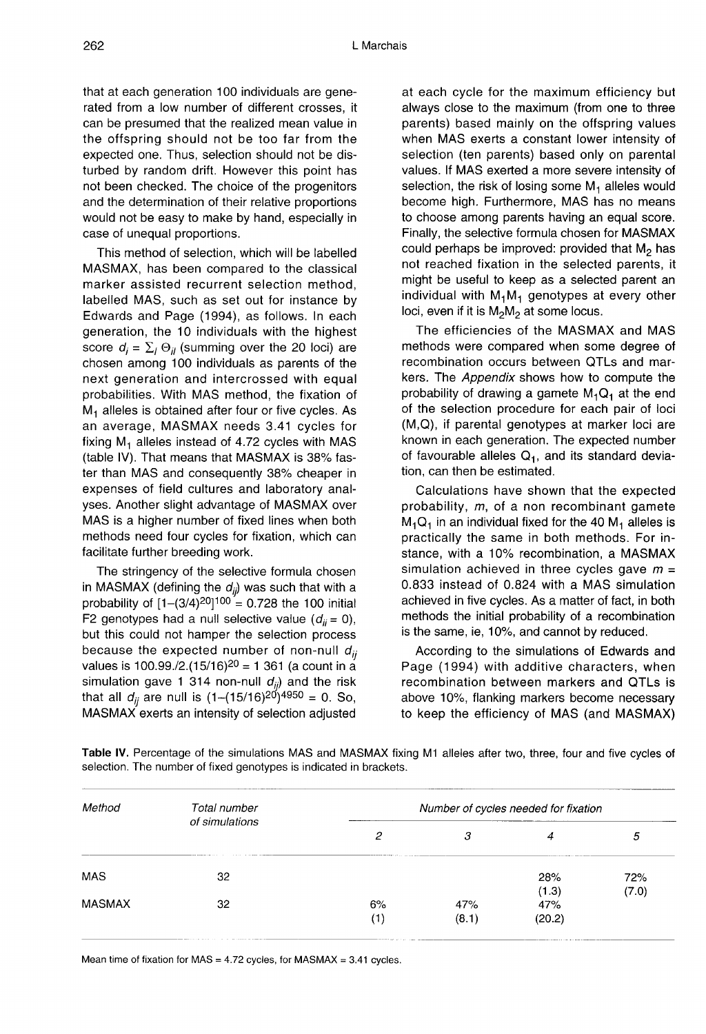that at each generation 100 individuals are generated from a low number of different crosses, it can be presumed that the realized mean value in the offspring should not be too far from the expected one. Thus, selection should not be disturbed by random drift. However this point has not been checked. The choice of the progenitors and the determination of their relative proportions would not be easy to make by hand, especially in case of unequal proportions.

This method of selection, which will be labelled MASMAX, has been compared to the classical marker assisted recurrent selection method, labelled MAS, such as set out for instance by Edwards and Page (1994), as follows. In each score  $d_i = \sum_i \Theta_{ii}$  (summing over the 20 loci) are chosen among 100 individuals as parents of the next generation and intercrossed with equal probabilities. With MAS method, the fixation of  $M_1$  alleles is obtained after four or five cycles. As an average, MASMAX needs 3.41 cycles for fixing  $M_1$  alleles instead of 4.72 cycles with MAS (table IV). That means that MASMAX is 38% faster than MAS and consequently 38% cheaper in expenses of field cultures and laboratory analyses. Another slight advantage of MASMAX over MAS is a higher number of fixed lines when both methods need four cycles for fixation, which can facilitate further breeding work.

The stringency of the selective formula chosen in MASMAX (defining the  $d_{ij}$ ) was such that with a MAS is a higher number of fixed lines when both<br>methods need four cycles for fixation, which can<br>facilitate further breeding work.<br>The stringency of the selective formula chosen<br>in MASMAX (defining the  $d_{ij}$ ) was such th F2 genotypes had a null selective value  $(d_{ii} = 0)$ , but this could not hamper the selection process because the expected number of non-null  $d_{ii}$ brobability of  $[1-(3/4)^{2}]^{1/20} = 0.726$  the 100 finder<br>F2 genotypes had a null selective value  $(d_{ii} = 0)$ ,<br>but this could not hamper the selection process<br>because the expected number of non-null  $d_{ij}$ <br>values is 100.99./ in MASMAX (defining the  $d_{ij}$ ) was such that with a<br>probability of  $[1-(3/4)^{20}]^{100} = 0.728$  the 100 initial<br>F2 genotypes had a null selective value  $(d_{ij} = 0)$ ,<br>but this could not hamper the selection process<br>because the MASMAX exerts an intensity of selection adjusted

at each cycle for the maximum efficiency but always close to the maximum (from one to three parents) based mainly on the offspring values when MAS exerts a constant lower intensity of selection (ten parents) based only on parental values. If MAS exerted a more severe intensity of selection, the risk of losing some  $M_1$  alleles would become high. Furthermore, MAS has no means to choose among parents having an equal score. Finally, the selective formula chosen for MASMAX could perhaps be improved: provided that  $M_2$  has not reached fixation in the selected parents, it might be useful to keep as a selected parent an flot reacried fixation in the selected parents, it<br>inight be useful to keep as a selected parent and<br>individual with  $M_1M_1$  genotypes at every other<br>loci even if it is  $M_2M_2$  at some locus individual with  $M_1M_1$  genotypes at every other loci, even if it is  $M_2M_2$  at some locus.

The efficiencies of the MASMAX and MAS methods were compared when some degree of recombination occurs between QTLs and markers. The Appendix shows how to compute the probability of drawing a gamete  $M_1Q_1$  at the end of the selection procedure for each pair of loci (M,Q), if parental genotypes at marker loci are known in each generation. The expected number of favourable alleles  $Q_1$ , and its standard deviation, can then be estimated.

Calculations have shown that the expected probability, m, of a non recombinant gamete<br>M<sub>1</sub>Q<sub>1</sub> in an individual fixed for the 40 M<sub>1</sub> alleles is<br>practically the same in both methods. For inpractically the same in both methods. For instance, with a 10% recombination, a MASMAX simulation achieved in three cycles gave  $m =$ 0.833 instead of 0.824 with a MAS simulation achieved in five cycles. As a matter of fact, in both methods the initial probability of a recombination is the same, ie, 10%, and cannot by reduced.

According to the simulations of Edwards and Page (1994) with additive characters, when recombination between markers and QTLs is above 10%, flanking markers become necessary to keep the efficiency of MAS (and MASMAX)

Table IV. Percentage of the simulations MAS and MASMAX fixing M1 alleles after two, three, four and five cycles of selection. The number of fixed genotypes is indicated in brackets.

| Method        | Total number<br>of simulations | Number of cycles needed for fixation |              |               |              |  |
|---------------|--------------------------------|--------------------------------------|--------------|---------------|--------------|--|
|               |                                | 2                                    | 3            | 4             | 5            |  |
| <b>MAS</b>    | 32                             |                                      |              | 28%<br>(1.3)  | 72%<br>(7.0) |  |
| <b>MASMAX</b> | 32                             | 6%<br>(1)                            | 47%<br>(8.1) | 47%<br>(20.2) |              |  |

Mean time of fixation for MAS =  $4.72$  cycles, for MASMAX = 3.41 cycles.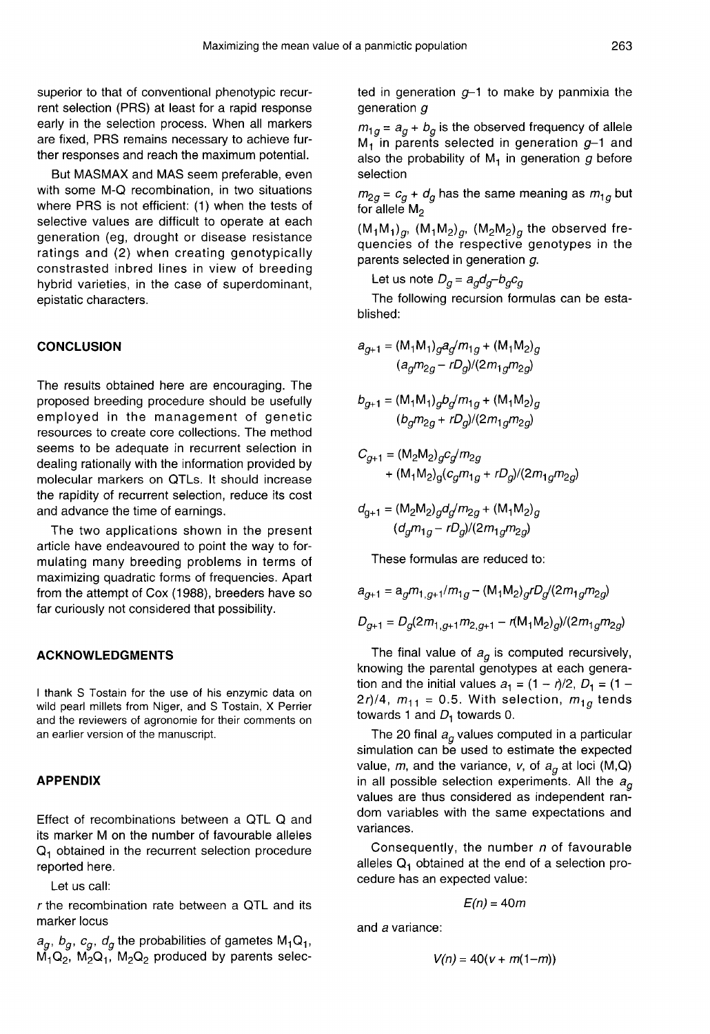superior to that of conventional phenotypic recurrent selection (PRS) at least for a rapid response early in the selection process. When all markers are fixed, PRS remains necessary to achieve further responses and reach the maximum potential.

But MASMAX and MAS seem preferable, even with some M-Q recombination, in two situations where PRS is not efficient: (1) when the tests of selective values are difficult to operate at each generation (eg, drought or disease resistance ratings and (2) when creating genotypically constrasted inbred lines in view of breeding hybrid varieties, in the case of superdominant, epistatic characters.

#### **CONCLUSION**

The results obtained here are encouraging. The proposed breeding procedure should be usefully employed in the management of genetic resources to create core collections. The method seems to be adequate in recurrent selection in dealing rationally with the information provided by molecular markers on QTLs. It should increase the rapidity of recurrent selection, reduce its cost and advance the time of earnings.

The two applications shown in the present article have endeavoured to point the way to formulating many breeding problems in terms of maximizing quadratic forms of frequencies. Apart from the attempt of Cox (1988), breeders have so far curiously not considered that possibility.

#### ACKNOWLEDGMENTS

I thank S Tostain for the use of his enzymic data on wild pearl millets from Niger, and S Tostain, X Perrier and the reviewers of agronomie for their comments on an earlier version of the manuscript.

### APPENDIX

Effect of recombinations between a QTL Q and its marker M on the number of favourable alleles  $Q_1$  obtained in the recurrent selection procedure reported here.

Let us call:

r the recombination rate between a QTL and its marker locus

r the recombination rate between a QTL and its<br>marker locus<br> $a_g$ ,  $b_g$ ,  $c_g$ ,  $d_g$  the probabilities of gametes M<sub>1</sub>Q<sub>1</sub>,<br>M<sub>1</sub>Q<sub>2</sub>, M<sub>2</sub>Q<sub>1</sub>, M<sub>2</sub>Q<sub>2</sub> produced by parents selecmarker locus<br> $a_g,\,b_g,\,c_g,\,d_g$  the probabilities of gametes M<sub>1</sub>Q<sub>1</sub>,<br>M<sub>1</sub>Q<sub>2</sub>, M<sub>2</sub>Q<sub>1</sub>, M<sub>2</sub>Q<sub>2</sub> produced by parents selected in generation  $g-1$  to make by panmixia the generation g

 $m_{1g}$  =  $a_g + b_g$  is the observed frequency of allele  $M_1$  in parents selected in generation  $g-1$  and also the probability of  $M_1$  in generation g before selection

for allele  $M<sub>2</sub>$ 

selection<br> $m_{2g}$  =  $c_g$  +  $d_g$  has the same meaning as  $m_{1g}$  but<br>for allele M<sub>2</sub><br>(M<sub>1</sub>M<sub>1</sub>)<sub>g</sub>, (M<sub>1</sub>M<sub>2</sub>)<sub>g</sub>, (M<sub>2</sub>M<sub>2</sub>)<sub>g</sub> the observed fre-<br>quencies of the respective genotypes in the quencies of the respective genotypes in the parents selected in generation g.  $(M_1M_1)_{q}$ ,  $(M_1M_2)_{q}$ ,  $(M_2M_2)_{q}$  the observed fre-

Let us note  $D_q = a_q d_q - b_q c_q$ 

The following recursion formulas can be established:

$$
a_{g+1} = (M_1 M_1)_{g} a_{g} / m_{1g} + (M_1 M_2)_{g}
$$

$$
(a_{g} m_{2g} - r D_g) / (2 m_{1g} m_{2g})
$$

$$
b_{g+1} = (M_1 M_1)_{g} b_{g} / m_{1g} + (M_1 M_2)_{g}
$$

$$
(b_{g} m_{2g} + r D_g) / (2 m_1 g m_{2g})
$$

$$
\begin{aligned} C_{g+1} & = (M_2 M_2)_{g} c_g / m_{2g} \\ & + (M_1 M_2)_{g} (c_g m_{1g} + r D_g) / (2 m_{1g} m_{2g}) \end{aligned}
$$

$$
d_{g+1} = (M_2M_2)_{g}d_{g}/m_{2g} + (M_1M_2)_{g}
$$

$$
(d_{g}m_{1g} - rD_g)/(2m_{1g}m_{2g})
$$

These formulas are reduced to:

$$
a_{g+1} = a_g m_{1,g+1}/m_{1g} - (M_1 M_2)_{g} r D_g / (2m_{1g} m_{2g})
$$
  

$$
D_{g+1} = D_g (2m_{1,g+1} m_{2,g+1} - r (M_1 M_2)_{g}) / (2m_{1g} m_{2g})
$$

The final value of  $a_q$  is computed recursively, knowing the parental genotypes at each generation and the initial values  $a_1 = (1 - r)/2$ ,  $D_1 = (1 -$ 2r)/4,  $m_{11} = 0.5$ . With selection,  $m_{1g}$  tends towards 1 and  $D_1$  towards 0.

The 20 final  $a_q$  values computed in a particular simulation can be used to estimate the expected value, m, and the variance, v, of  $a_q$  at loci (M,Q) in all possible selection experiments. All the  $a_{\alpha}$ values are thus considered as independent random variables with the same expectations and variances.

Consequently, the number  $n$  of favourable alleles  $Q_1$  obtained at the end of a selection procedure has an expected value:

$$
E(n)=40m
$$

and a variance:

$$
V(n) = 40(v + m(1-m))
$$